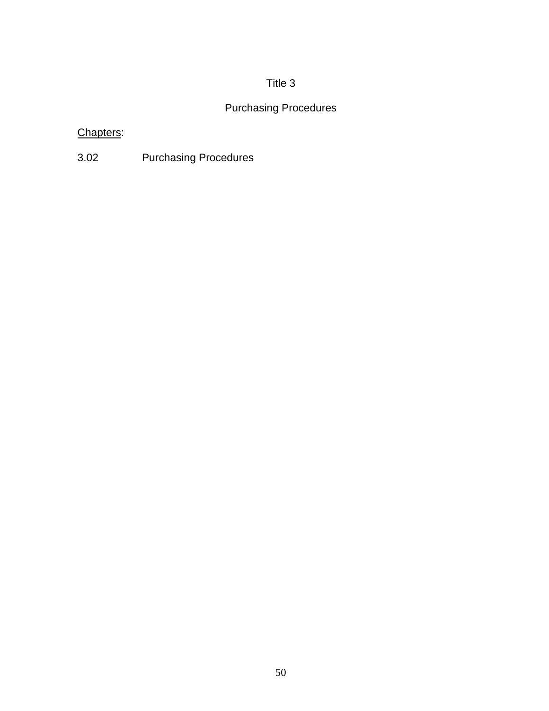# Title 3

# Purchasing Procedures

# Chapters:

3.02 Purchasing Procedures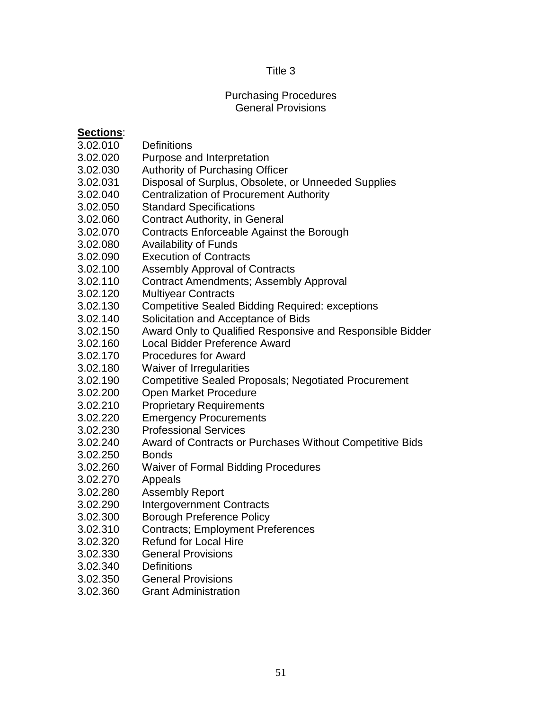# Title 3

#### Purchasing Procedures General Provisions

### **Sections**:

- 3.02.010 Definitions
- 3.02.020 Purpose and Interpretation
- 3.02.030 Authority of Purchasing Officer
- 3.02.031 Disposal of Surplus, Obsolete, or Unneeded Supplies
- 3.02.040 Centralization of Procurement Authority
- 3.02.050 Standard Specifications
- 3.02.060 Contract Authority, in General
- 3.02.070 Contracts Enforceable Against the Borough
- 3.02.080 Availability of Funds
- 3.02.090 Execution of Contracts
- 3.02.100 Assembly Approval of Contracts
- 3.02.110 Contract Amendments; Assembly Approval
- 3.02.120 Multiyear Contracts
- 3.02.130 Competitive Sealed Bidding Required: exceptions
- 3.02.140 Solicitation and Acceptance of Bids
- 3.02.150 Award Only to Qualified Responsive and Responsible Bidder
- 3.02.160 Local Bidder Preference Award
- 3.02.170 Procedures for Award
- 3.02.180 Waiver of Irregularities
- 3.02.190 Competitive Sealed Proposals; Negotiated Procurement
- 3.02.200 Open Market Procedure
- 3.02.210 Proprietary Requirements
- 3.02.220 Emergency Procurements
- 3.02.230 Professional Services
- 3.02.240 Award of Contracts or Purchases Without Competitive Bids
- 3.02.250 Bonds
- 3.02.260 Waiver of Formal Bidding Procedures
- 3.02.270 Appeals
- 3.02.280 Assembly Report
- 3.02.290 Intergovernment Contracts
- 3.02.300 Borough Preference Policy
- 3.02.310 Contracts; Employment Preferences
- 3.02.320 Refund for Local Hire
- 3.02.330 General Provisions
- 3.02.340 Definitions
- 3.02.350 General Provisions
- 3.02.360 Grant Administration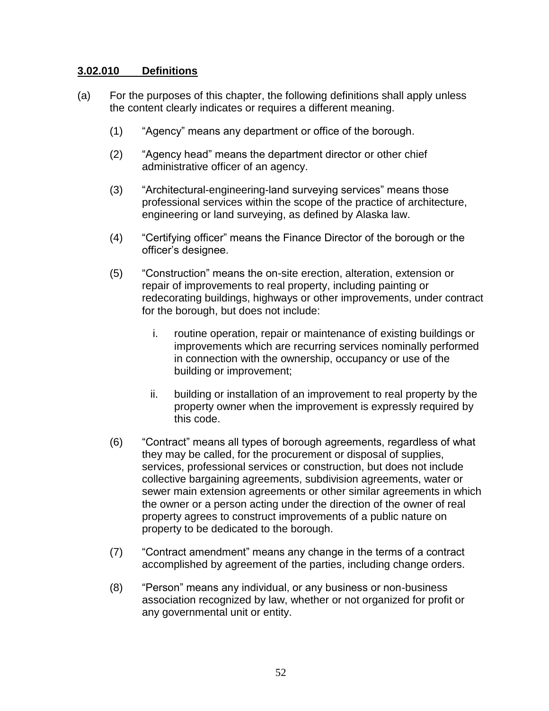#### **3.02.010 Definitions**

- (a) For the purposes of this chapter, the following definitions shall apply unless the content clearly indicates or requires a different meaning.
	- (1) "Agency" means any department or office of the borough.
	- (2) "Agency head" means the department director or other chief administrative officer of an agency.
	- (3) "Architectural-engineering-land surveying services" means those professional services within the scope of the practice of architecture, engineering or land surveying, as defined by Alaska law.
	- (4) "Certifying officer" means the Finance Director of the borough or the officer's designee.
	- (5) "Construction" means the on-site erection, alteration, extension or repair of improvements to real property, including painting or redecorating buildings, highways or other improvements, under contract for the borough, but does not include:
		- i. routine operation, repair or maintenance of existing buildings or improvements which are recurring services nominally performed in connection with the ownership, occupancy or use of the building or improvement;
		- ii. building or installation of an improvement to real property by the property owner when the improvement is expressly required by this code.
	- (6) "Contract" means all types of borough agreements, regardless of what they may be called, for the procurement or disposal of supplies, services, professional services or construction, but does not include collective bargaining agreements, subdivision agreements, water or sewer main extension agreements or other similar agreements in which the owner or a person acting under the direction of the owner of real property agrees to construct improvements of a public nature on property to be dedicated to the borough.
	- (7) "Contract amendment" means any change in the terms of a contract accomplished by agreement of the parties, including change orders.
	- (8) "Person" means any individual, or any business or non-business association recognized by law, whether or not organized for profit or any governmental unit or entity.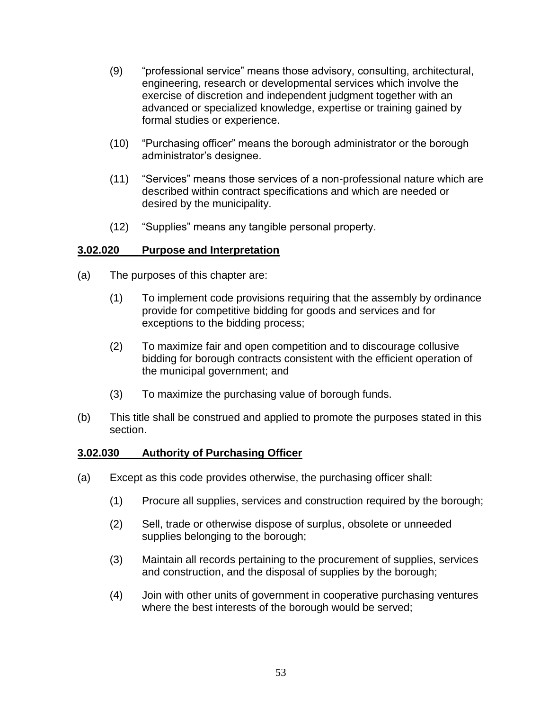- (9) "professional service" means those advisory, consulting, architectural, engineering, research or developmental services which involve the exercise of discretion and independent judgment together with an advanced or specialized knowledge, expertise or training gained by formal studies or experience.
- (10) "Purchasing officer" means the borough administrator or the borough administrator's designee.
- (11) "Services" means those services of a non-professional nature which are described within contract specifications and which are needed or desired by the municipality.
- (12) "Supplies" means any tangible personal property.

### **3.02.020 Purpose and Interpretation**

- (a) The purposes of this chapter are:
	- (1) To implement code provisions requiring that the assembly by ordinance provide for competitive bidding for goods and services and for exceptions to the bidding process;
	- (2) To maximize fair and open competition and to discourage collusive bidding for borough contracts consistent with the efficient operation of the municipal government; and
	- (3) To maximize the purchasing value of borough funds.
- (b) This title shall be construed and applied to promote the purposes stated in this section.

### **3.02.030 Authority of Purchasing Officer**

- (a) Except as this code provides otherwise, the purchasing officer shall:
	- (1) Procure all supplies, services and construction required by the borough;
	- (2) Sell, trade or otherwise dispose of surplus, obsolete or unneeded supplies belonging to the borough;
	- (3) Maintain all records pertaining to the procurement of supplies, services and construction, and the disposal of supplies by the borough;
	- (4) Join with other units of government in cooperative purchasing ventures where the best interests of the borough would be served;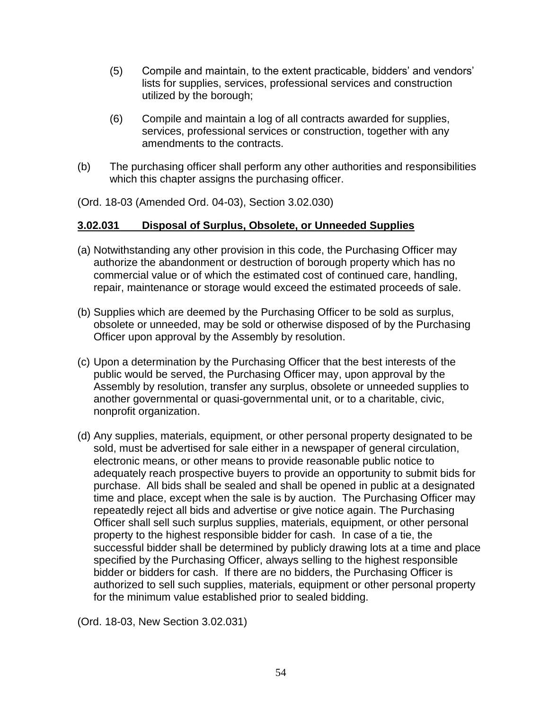- (5) Compile and maintain, to the extent practicable, bidders' and vendors' lists for supplies, services, professional services and construction utilized by the borough;
- (6) Compile and maintain a log of all contracts awarded for supplies, services, professional services or construction, together with any amendments to the contracts.
- (b) The purchasing officer shall perform any other authorities and responsibilities which this chapter assigns the purchasing officer.

(Ord. 18-03 (Amended Ord. 04-03), Section 3.02.030)

# **3.02.031 Disposal of Surplus, Obsolete, or Unneeded Supplies**

- (a) Notwithstanding any other provision in this code, the Purchasing Officer may authorize the abandonment or destruction of borough property which has no commercial value or of which the estimated cost of continued care, handling, repair, maintenance or storage would exceed the estimated proceeds of sale.
- (b) Supplies which are deemed by the Purchasing Officer to be sold as surplus, obsolete or unneeded, may be sold or otherwise disposed of by the Purchasing Officer upon approval by the Assembly by resolution.
- (c) Upon a determination by the Purchasing Officer that the best interests of the public would be served, the Purchasing Officer may, upon approval by the Assembly by resolution, transfer any surplus, obsolete or unneeded supplies to another governmental or quasi-governmental unit, or to a charitable, civic, nonprofit organization.
- (d) Any supplies, materials, equipment, or other personal property designated to be sold, must be advertised for sale either in a newspaper of general circulation, electronic means, or other means to provide reasonable public notice to adequately reach prospective buyers to provide an opportunity to submit bids for purchase. All bids shall be sealed and shall be opened in public at a designated time and place, except when the sale is by auction. The Purchasing Officer may repeatedly reject all bids and advertise or give notice again. The Purchasing Officer shall sell such surplus supplies, materials, equipment, or other personal property to the highest responsible bidder for cash. In case of a tie, the successful bidder shall be determined by publicly drawing lots at a time and place specified by the Purchasing Officer, always selling to the highest responsible bidder or bidders for cash. If there are no bidders, the Purchasing Officer is authorized to sell such supplies, materials, equipment or other personal property for the minimum value established prior to sealed bidding.

(Ord. 18-03, New Section 3.02.031)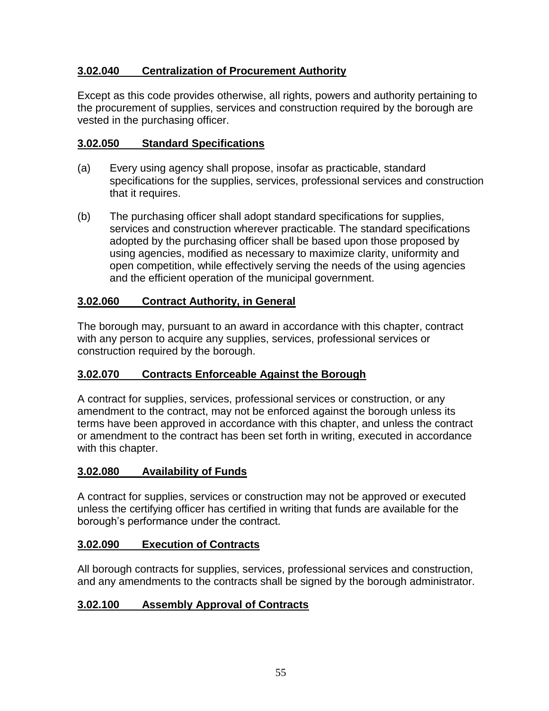# **3.02.040 Centralization of Procurement Authority**

Except as this code provides otherwise, all rights, powers and authority pertaining to the procurement of supplies, services and construction required by the borough are vested in the purchasing officer.

### **3.02.050 Standard Specifications**

- (a) Every using agency shall propose, insofar as practicable, standard specifications for the supplies, services, professional services and construction that it requires.
- (b) The purchasing officer shall adopt standard specifications for supplies, services and construction wherever practicable. The standard specifications adopted by the purchasing officer shall be based upon those proposed by using agencies, modified as necessary to maximize clarity, uniformity and open competition, while effectively serving the needs of the using agencies and the efficient operation of the municipal government.

# **3.02.060 Contract Authority, in General**

The borough may, pursuant to an award in accordance with this chapter, contract with any person to acquire any supplies, services, professional services or construction required by the borough.

# **3.02.070 Contracts Enforceable Against the Borough**

A contract for supplies, services, professional services or construction, or any amendment to the contract, may not be enforced against the borough unless its terms have been approved in accordance with this chapter, and unless the contract or amendment to the contract has been set forth in writing, executed in accordance with this chapter.

# **3.02.080 Availability of Funds**

A contract for supplies, services or construction may not be approved or executed unless the certifying officer has certified in writing that funds are available for the borough's performance under the contract.

# **3.02.090 Execution of Contracts**

All borough contracts for supplies, services, professional services and construction, and any amendments to the contracts shall be signed by the borough administrator.

# **3.02.100 Assembly Approval of Contracts**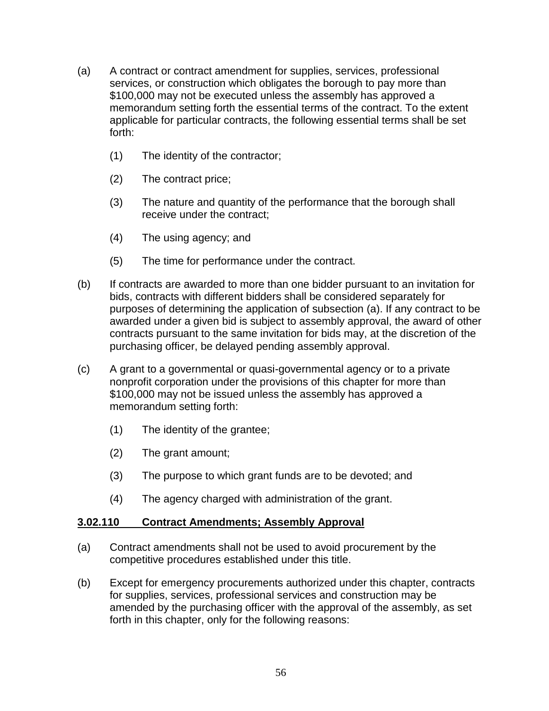- (a) A contract or contract amendment for supplies, services, professional services, or construction which obligates the borough to pay more than \$100,000 may not be executed unless the assembly has approved a memorandum setting forth the essential terms of the contract. To the extent applicable for particular contracts, the following essential terms shall be set forth:
	- (1) The identity of the contractor;
	- (2) The contract price;
	- (3) The nature and quantity of the performance that the borough shall receive under the contract;
	- (4) The using agency; and
	- (5) The time for performance under the contract.
- (b) If contracts are awarded to more than one bidder pursuant to an invitation for bids, contracts with different bidders shall be considered separately for purposes of determining the application of subsection (a). If any contract to be awarded under a given bid is subject to assembly approval, the award of other contracts pursuant to the same invitation for bids may, at the discretion of the purchasing officer, be delayed pending assembly approval.
- (c) A grant to a governmental or quasi-governmental agency or to a private nonprofit corporation under the provisions of this chapter for more than \$100,000 may not be issued unless the assembly has approved a memorandum setting forth:
	- (1) The identity of the grantee;
	- (2) The grant amount;
	- (3) The purpose to which grant funds are to be devoted; and
	- (4) The agency charged with administration of the grant.

### **3.02.110 Contract Amendments; Assembly Approval**

- (a) Contract amendments shall not be used to avoid procurement by the competitive procedures established under this title.
- (b) Except for emergency procurements authorized under this chapter, contracts for supplies, services, professional services and construction may be amended by the purchasing officer with the approval of the assembly, as set forth in this chapter, only for the following reasons: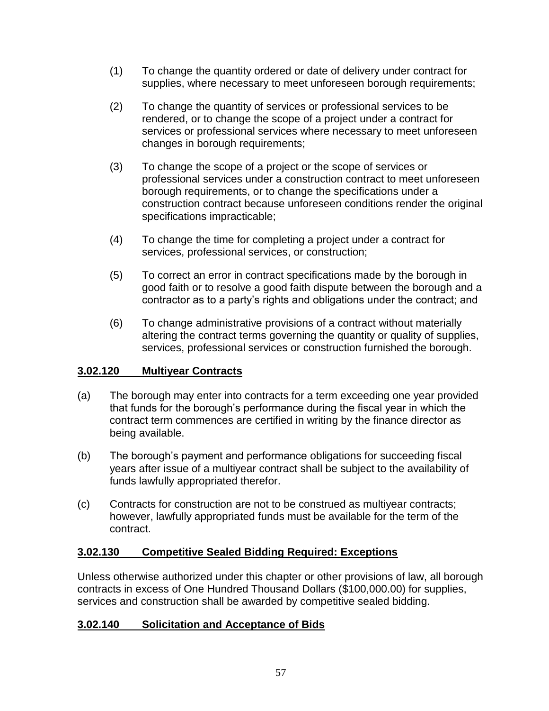- (1) To change the quantity ordered or date of delivery under contract for supplies, where necessary to meet unforeseen borough requirements;
- (2) To change the quantity of services or professional services to be rendered, or to change the scope of a project under a contract for services or professional services where necessary to meet unforeseen changes in borough requirements;
- (3) To change the scope of a project or the scope of services or professional services under a construction contract to meet unforeseen borough requirements, or to change the specifications under a construction contract because unforeseen conditions render the original specifications impracticable;
- (4) To change the time for completing a project under a contract for services, professional services, or construction;
- (5) To correct an error in contract specifications made by the borough in good faith or to resolve a good faith dispute between the borough and a contractor as to a party's rights and obligations under the contract; and
- (6) To change administrative provisions of a contract without materially altering the contract terms governing the quantity or quality of supplies, services, professional services or construction furnished the borough.

# **3.02.120 Multiyear Contracts**

- (a) The borough may enter into contracts for a term exceeding one year provided that funds for the borough's performance during the fiscal year in which the contract term commences are certified in writing by the finance director as being available.
- (b) The borough's payment and performance obligations for succeeding fiscal years after issue of a multiyear contract shall be subject to the availability of funds lawfully appropriated therefor.
- (c) Contracts for construction are not to be construed as multiyear contracts; however, lawfully appropriated funds must be available for the term of the contract.

# **3.02.130 Competitive Sealed Bidding Required: Exceptions**

Unless otherwise authorized under this chapter or other provisions of law, all borough contracts in excess of One Hundred Thousand Dollars (\$100,000.00) for supplies, services and construction shall be awarded by competitive sealed bidding.

# **3.02.140 Solicitation and Acceptance of Bids**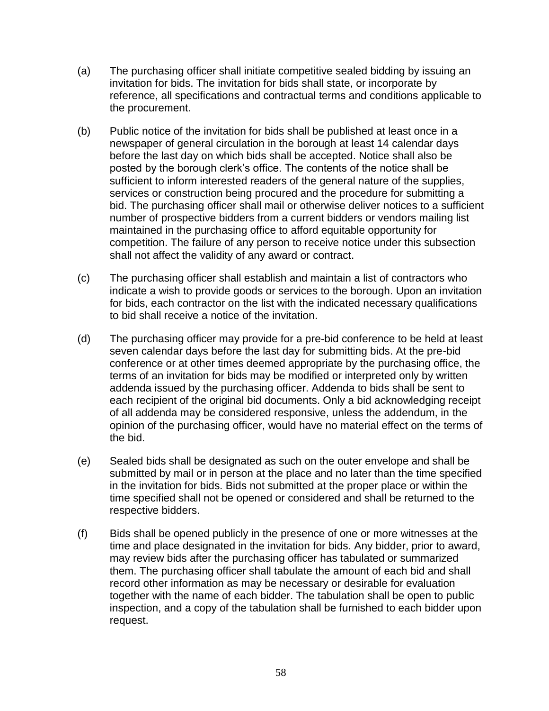- (a) The purchasing officer shall initiate competitive sealed bidding by issuing an invitation for bids. The invitation for bids shall state, or incorporate by reference, all specifications and contractual terms and conditions applicable to the procurement.
- (b) Public notice of the invitation for bids shall be published at least once in a newspaper of general circulation in the borough at least 14 calendar days before the last day on which bids shall be accepted. Notice shall also be posted by the borough clerk's office. The contents of the notice shall be sufficient to inform interested readers of the general nature of the supplies, services or construction being procured and the procedure for submitting a bid. The purchasing officer shall mail or otherwise deliver notices to a sufficient number of prospective bidders from a current bidders or vendors mailing list maintained in the purchasing office to afford equitable opportunity for competition. The failure of any person to receive notice under this subsection shall not affect the validity of any award or contract.
- (c) The purchasing officer shall establish and maintain a list of contractors who indicate a wish to provide goods or services to the borough. Upon an invitation for bids, each contractor on the list with the indicated necessary qualifications to bid shall receive a notice of the invitation.
- (d) The purchasing officer may provide for a pre-bid conference to be held at least seven calendar days before the last day for submitting bids. At the pre-bid conference or at other times deemed appropriate by the purchasing office, the terms of an invitation for bids may be modified or interpreted only by written addenda issued by the purchasing officer. Addenda to bids shall be sent to each recipient of the original bid documents. Only a bid acknowledging receipt of all addenda may be considered responsive, unless the addendum, in the opinion of the purchasing officer, would have no material effect on the terms of the bid.
- (e) Sealed bids shall be designated as such on the outer envelope and shall be submitted by mail or in person at the place and no later than the time specified in the invitation for bids. Bids not submitted at the proper place or within the time specified shall not be opened or considered and shall be returned to the respective bidders.
- (f) Bids shall be opened publicly in the presence of one or more witnesses at the time and place designated in the invitation for bids. Any bidder, prior to award, may review bids after the purchasing officer has tabulated or summarized them. The purchasing officer shall tabulate the amount of each bid and shall record other information as may be necessary or desirable for evaluation together with the name of each bidder. The tabulation shall be open to public inspection, and a copy of the tabulation shall be furnished to each bidder upon request.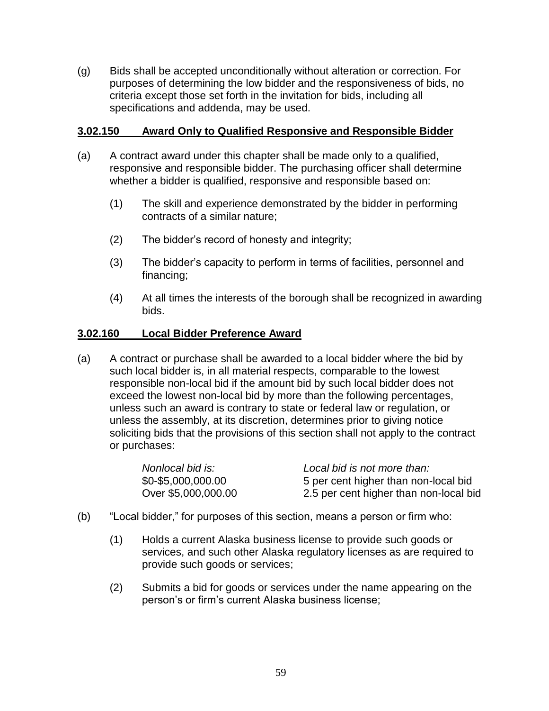(g) Bids shall be accepted unconditionally without alteration or correction. For purposes of determining the low bidder and the responsiveness of bids, no criteria except those set forth in the invitation for bids, including all specifications and addenda, may be used.

### **3.02.150 Award Only to Qualified Responsive and Responsible Bidder**

- (a) A contract award under this chapter shall be made only to a qualified, responsive and responsible bidder. The purchasing officer shall determine whether a bidder is qualified, responsive and responsible based on:
	- (1) The skill and experience demonstrated by the bidder in performing contracts of a similar nature;
	- (2) The bidder's record of honesty and integrity;
	- (3) The bidder's capacity to perform in terms of facilities, personnel and financing;
	- (4) At all times the interests of the borough shall be recognized in awarding bids.

### **3.02.160 Local Bidder Preference Award**

(a) A contract or purchase shall be awarded to a local bidder where the bid by such local bidder is, in all material respects, comparable to the lowest responsible non-local bid if the amount bid by such local bidder does not exceed the lowest non-local bid by more than the following percentages, unless such an award is contrary to state or federal law or regulation, or unless the assembly, at its discretion, determines prior to giving notice soliciting bids that the provisions of this section shall not apply to the contract or purchases:

| Nonlocal bid is:    | Local bid is not more than:            |
|---------------------|----------------------------------------|
| \$0-\$5,000,000.00  | 5 per cent higher than non-local bid   |
| Over \$5,000,000.00 | 2.5 per cent higher than non-local bid |

- (b) "Local bidder," for purposes of this section, means a person or firm who:
	- (1) Holds a current Alaska business license to provide such goods or services, and such other Alaska regulatory licenses as are required to provide such goods or services;
	- (2) Submits a bid for goods or services under the name appearing on the person's or firm's current Alaska business license;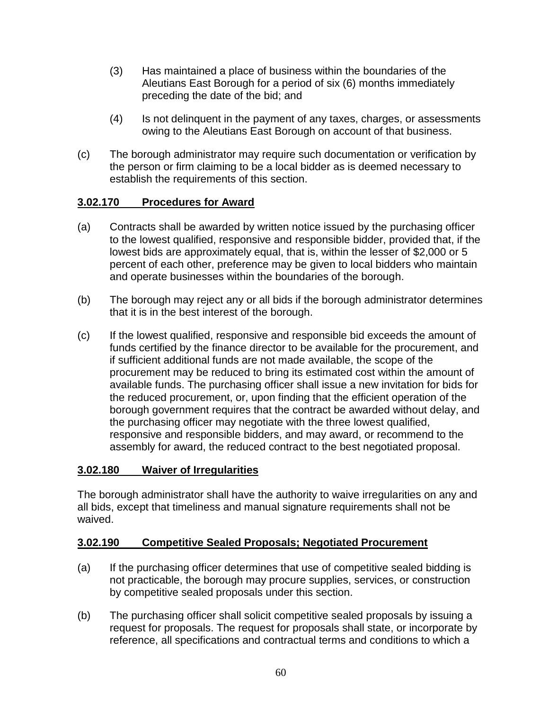- (3) Has maintained a place of business within the boundaries of the Aleutians East Borough for a period of six (6) months immediately preceding the date of the bid; and
- (4) Is not delinquent in the payment of any taxes, charges, or assessments owing to the Aleutians East Borough on account of that business.
- (c) The borough administrator may require such documentation or verification by the person or firm claiming to be a local bidder as is deemed necessary to establish the requirements of this section.

# **3.02.170 Procedures for Award**

- (a) Contracts shall be awarded by written notice issued by the purchasing officer to the lowest qualified, responsive and responsible bidder, provided that, if the lowest bids are approximately equal, that is, within the lesser of \$2,000 or 5 percent of each other, preference may be given to local bidders who maintain and operate businesses within the boundaries of the borough.
- (b) The borough may reject any or all bids if the borough administrator determines that it is in the best interest of the borough.
- (c) If the lowest qualified, responsive and responsible bid exceeds the amount of funds certified by the finance director to be available for the procurement, and if sufficient additional funds are not made available, the scope of the procurement may be reduced to bring its estimated cost within the amount of available funds. The purchasing officer shall issue a new invitation for bids for the reduced procurement, or, upon finding that the efficient operation of the borough government requires that the contract be awarded without delay, and the purchasing officer may negotiate with the three lowest qualified, responsive and responsible bidders, and may award, or recommend to the assembly for award, the reduced contract to the best negotiated proposal.

# **3.02.180 Waiver of Irregularities**

The borough administrator shall have the authority to waive irregularities on any and all bids, except that timeliness and manual signature requirements shall not be waived.

### **3.02.190 Competitive Sealed Proposals; Negotiated Procurement**

- (a) If the purchasing officer determines that use of competitive sealed bidding is not practicable, the borough may procure supplies, services, or construction by competitive sealed proposals under this section.
- (b) The purchasing officer shall solicit competitive sealed proposals by issuing a request for proposals. The request for proposals shall state, or incorporate by reference, all specifications and contractual terms and conditions to which a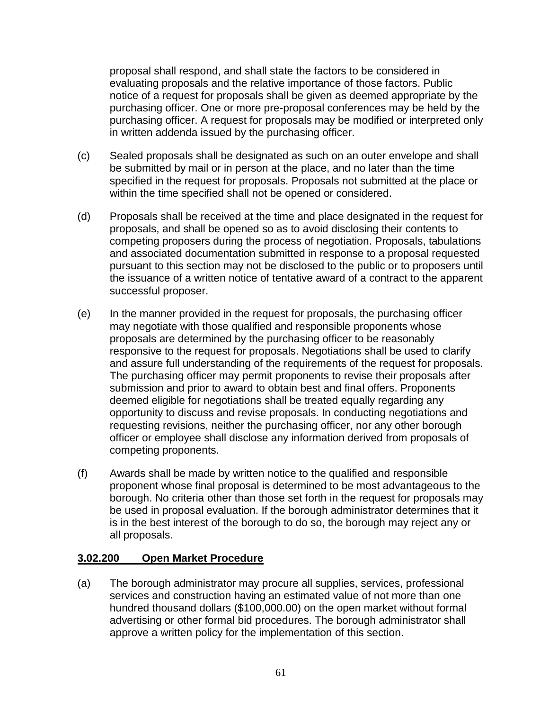proposal shall respond, and shall state the factors to be considered in evaluating proposals and the relative importance of those factors. Public notice of a request for proposals shall be given as deemed appropriate by the purchasing officer. One or more pre-proposal conferences may be held by the purchasing officer. A request for proposals may be modified or interpreted only in written addenda issued by the purchasing officer.

- (c) Sealed proposals shall be designated as such on an outer envelope and shall be submitted by mail or in person at the place, and no later than the time specified in the request for proposals. Proposals not submitted at the place or within the time specified shall not be opened or considered.
- (d) Proposals shall be received at the time and place designated in the request for proposals, and shall be opened so as to avoid disclosing their contents to competing proposers during the process of negotiation. Proposals, tabulations and associated documentation submitted in response to a proposal requested pursuant to this section may not be disclosed to the public or to proposers until the issuance of a written notice of tentative award of a contract to the apparent successful proposer.
- (e) In the manner provided in the request for proposals, the purchasing officer may negotiate with those qualified and responsible proponents whose proposals are determined by the purchasing officer to be reasonably responsive to the request for proposals. Negotiations shall be used to clarify and assure full understanding of the requirements of the request for proposals. The purchasing officer may permit proponents to revise their proposals after submission and prior to award to obtain best and final offers. Proponents deemed eligible for negotiations shall be treated equally regarding any opportunity to discuss and revise proposals. In conducting negotiations and requesting revisions, neither the purchasing officer, nor any other borough officer or employee shall disclose any information derived from proposals of competing proponents.
- (f) Awards shall be made by written notice to the qualified and responsible proponent whose final proposal is determined to be most advantageous to the borough. No criteria other than those set forth in the request for proposals may be used in proposal evaluation. If the borough administrator determines that it is in the best interest of the borough to do so, the borough may reject any or all proposals.

### **3.02.200 Open Market Procedure**

(a) The borough administrator may procure all supplies, services, professional services and construction having an estimated value of not more than one hundred thousand dollars (\$100,000.00) on the open market without formal advertising or other formal bid procedures. The borough administrator shall approve a written policy for the implementation of this section.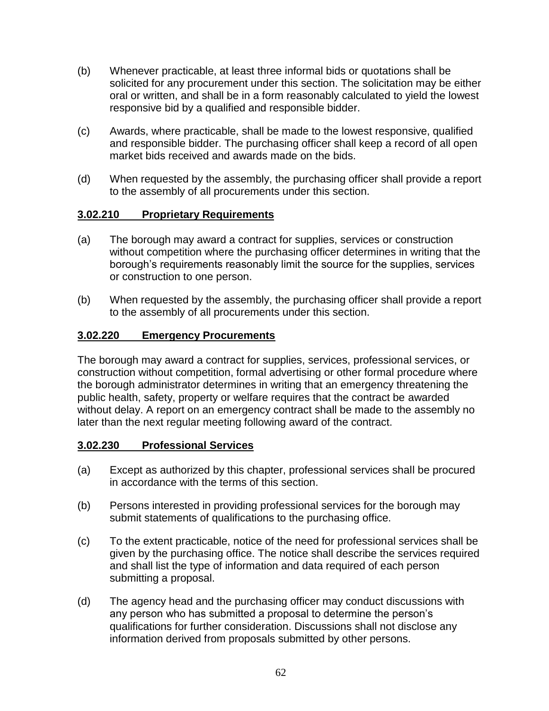- (b) Whenever practicable, at least three informal bids or quotations shall be solicited for any procurement under this section. The solicitation may be either oral or written, and shall be in a form reasonably calculated to yield the lowest responsive bid by a qualified and responsible bidder.
- (c) Awards, where practicable, shall be made to the lowest responsive, qualified and responsible bidder. The purchasing officer shall keep a record of all open market bids received and awards made on the bids.
- (d) When requested by the assembly, the purchasing officer shall provide a report to the assembly of all procurements under this section.

### **3.02.210 Proprietary Requirements**

- (a) The borough may award a contract for supplies, services or construction without competition where the purchasing officer determines in writing that the borough's requirements reasonably limit the source for the supplies, services or construction to one person.
- (b) When requested by the assembly, the purchasing officer shall provide a report to the assembly of all procurements under this section.

### **3.02.220 Emergency Procurements**

The borough may award a contract for supplies, services, professional services, or construction without competition, formal advertising or other formal procedure where the borough administrator determines in writing that an emergency threatening the public health, safety, property or welfare requires that the contract be awarded without delay. A report on an emergency contract shall be made to the assembly no later than the next regular meeting following award of the contract.

### **3.02.230 Professional Services**

- (a) Except as authorized by this chapter, professional services shall be procured in accordance with the terms of this section.
- (b) Persons interested in providing professional services for the borough may submit statements of qualifications to the purchasing office.
- (c) To the extent practicable, notice of the need for professional services shall be given by the purchasing office. The notice shall describe the services required and shall list the type of information and data required of each person submitting a proposal.
- (d) The agency head and the purchasing officer may conduct discussions with any person who has submitted a proposal to determine the person's qualifications for further consideration. Discussions shall not disclose any information derived from proposals submitted by other persons.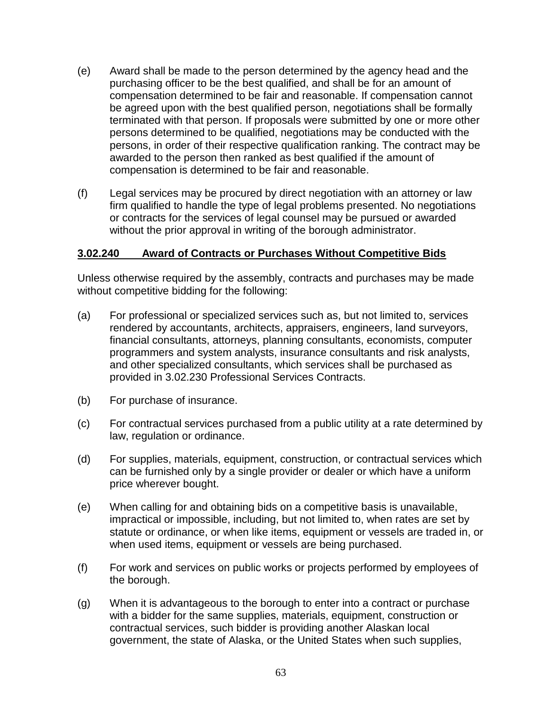- (e) Award shall be made to the person determined by the agency head and the purchasing officer to be the best qualified, and shall be for an amount of compensation determined to be fair and reasonable. If compensation cannot be agreed upon with the best qualified person, negotiations shall be formally terminated with that person. If proposals were submitted by one or more other persons determined to be qualified, negotiations may be conducted with the persons, in order of their respective qualification ranking. The contract may be awarded to the person then ranked as best qualified if the amount of compensation is determined to be fair and reasonable.
- (f) Legal services may be procured by direct negotiation with an attorney or law firm qualified to handle the type of legal problems presented. No negotiations or contracts for the services of legal counsel may be pursued or awarded without the prior approval in writing of the borough administrator.

### **3.02.240 Award of Contracts or Purchases Without Competitive Bids**

Unless otherwise required by the assembly, contracts and purchases may be made without competitive bidding for the following:

- (a) For professional or specialized services such as, but not limited to, services rendered by accountants, architects, appraisers, engineers, land surveyors, financial consultants, attorneys, planning consultants, economists, computer programmers and system analysts, insurance consultants and risk analysts, and other specialized consultants, which services shall be purchased as provided in 3.02.230 Professional Services Contracts.
- (b) For purchase of insurance.
- (c) For contractual services purchased from a public utility at a rate determined by law, regulation or ordinance.
- (d) For supplies, materials, equipment, construction, or contractual services which can be furnished only by a single provider or dealer or which have a uniform price wherever bought.
- (e) When calling for and obtaining bids on a competitive basis is unavailable, impractical or impossible, including, but not limited to, when rates are set by statute or ordinance, or when like items, equipment or vessels are traded in, or when used items, equipment or vessels are being purchased.
- (f) For work and services on public works or projects performed by employees of the borough.
- (g) When it is advantageous to the borough to enter into a contract or purchase with a bidder for the same supplies, materials, equipment, construction or contractual services, such bidder is providing another Alaskan local government, the state of Alaska, or the United States when such supplies,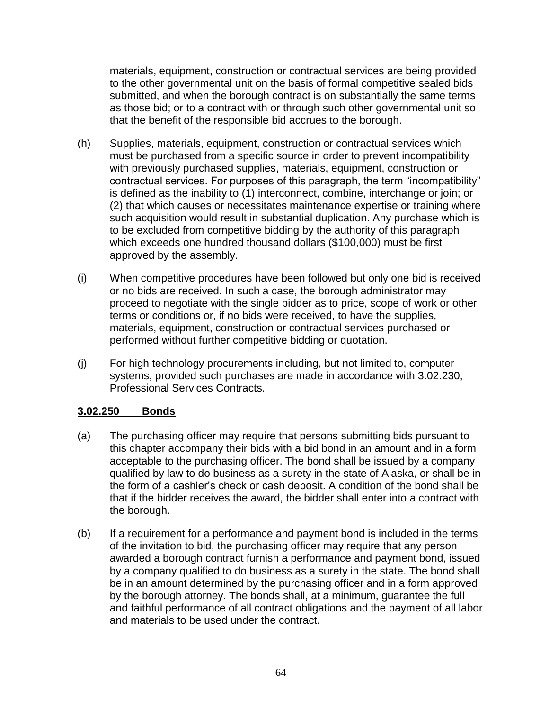materials, equipment, construction or contractual services are being provided to the other governmental unit on the basis of formal competitive sealed bids submitted, and when the borough contract is on substantially the same terms as those bid; or to a contract with or through such other governmental unit so that the benefit of the responsible bid accrues to the borough.

- (h) Supplies, materials, equipment, construction or contractual services which must be purchased from a specific source in order to prevent incompatibility with previously purchased supplies, materials, equipment, construction or contractual services. For purposes of this paragraph, the term "incompatibility" is defined as the inability to (1) interconnect, combine, interchange or join; or (2) that which causes or necessitates maintenance expertise or training where such acquisition would result in substantial duplication. Any purchase which is to be excluded from competitive bidding by the authority of this paragraph which exceeds one hundred thousand dollars (\$100,000) must be first approved by the assembly.
- (i) When competitive procedures have been followed but only one bid is received or no bids are received. In such a case, the borough administrator may proceed to negotiate with the single bidder as to price, scope of work or other terms or conditions or, if no bids were received, to have the supplies, materials, equipment, construction or contractual services purchased or performed without further competitive bidding or quotation.
- (j) For high technology procurements including, but not limited to, computer systems, provided such purchases are made in accordance with 3.02.230, Professional Services Contracts.

### **3.02.250 Bonds**

- (a) The purchasing officer may require that persons submitting bids pursuant to this chapter accompany their bids with a bid bond in an amount and in a form acceptable to the purchasing officer. The bond shall be issued by a company qualified by law to do business as a surety in the state of Alaska, or shall be in the form of a cashier's check or cash deposit. A condition of the bond shall be that if the bidder receives the award, the bidder shall enter into a contract with the borough.
- (b) If a requirement for a performance and payment bond is included in the terms of the invitation to bid, the purchasing officer may require that any person awarded a borough contract furnish a performance and payment bond, issued by a company qualified to do business as a surety in the state. The bond shall be in an amount determined by the purchasing officer and in a form approved by the borough attorney. The bonds shall, at a minimum, guarantee the full and faithful performance of all contract obligations and the payment of all labor and materials to be used under the contract.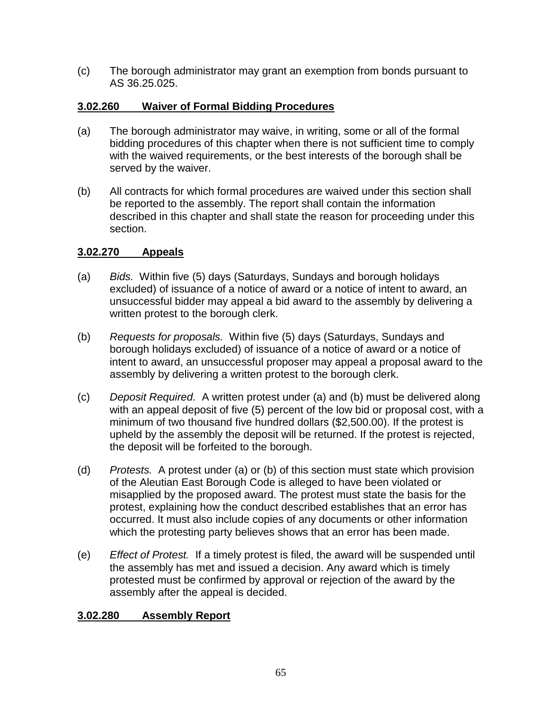(c) The borough administrator may grant an exemption from bonds pursuant to AS 36.25.025.

# **3.02.260 Waiver of Formal Bidding Procedures**

- (a) The borough administrator may waive, in writing, some or all of the formal bidding procedures of this chapter when there is not sufficient time to comply with the waived requirements, or the best interests of the borough shall be served by the waiver.
- (b) All contracts for which formal procedures are waived under this section shall be reported to the assembly. The report shall contain the information described in this chapter and shall state the reason for proceeding under this section.

# **3.02.270 Appeals**

- (a) *Bids.* Within five (5) days (Saturdays, Sundays and borough holidays excluded) of issuance of a notice of award or a notice of intent to award, an unsuccessful bidder may appeal a bid award to the assembly by delivering a written protest to the borough clerk.
- (b) *Requests for proposals.* Within five (5) days (Saturdays, Sundays and borough holidays excluded) of issuance of a notice of award or a notice of intent to award, an unsuccessful proposer may appeal a proposal award to the assembly by delivering a written protest to the borough clerk.
- (c) *Deposit Required.* A written protest under (a) and (b) must be delivered along with an appeal deposit of five (5) percent of the low bid or proposal cost, with a minimum of two thousand five hundred dollars (\$2,500.00). If the protest is upheld by the assembly the deposit will be returned. If the protest is rejected, the deposit will be forfeited to the borough.
- (d) *Protests.* A protest under (a) or (b) of this section must state which provision of the Aleutian East Borough Code is alleged to have been violated or misapplied by the proposed award. The protest must state the basis for the protest, explaining how the conduct described establishes that an error has occurred. It must also include copies of any documents or other information which the protesting party believes shows that an error has been made.
- (e) *Effect of Protest.* If a timely protest is filed, the award will be suspended until the assembly has met and issued a decision. Any award which is timely protested must be confirmed by approval or rejection of the award by the assembly after the appeal is decided.

# **3.02.280 Assembly Report**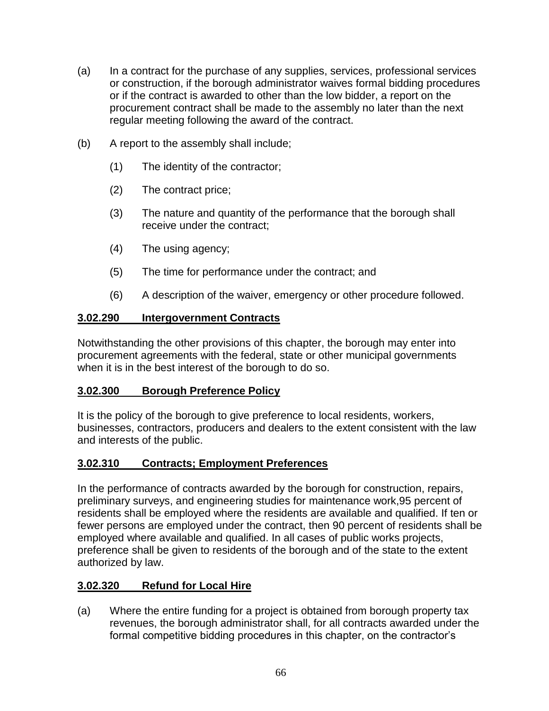- (a) In a contract for the purchase of any supplies, services, professional services or construction, if the borough administrator waives formal bidding procedures or if the contract is awarded to other than the low bidder, a report on the procurement contract shall be made to the assembly no later than the next regular meeting following the award of the contract.
- (b) A report to the assembly shall include;
	- (1) The identity of the contractor;
	- (2) The contract price;
	- (3) The nature and quantity of the performance that the borough shall receive under the contract;
	- (4) The using agency;
	- (5) The time for performance under the contract; and
	- (6) A description of the waiver, emergency or other procedure followed.

# **3.02.290 Intergovernment Contracts**

Notwithstanding the other provisions of this chapter, the borough may enter into procurement agreements with the federal, state or other municipal governments when it is in the best interest of the borough to do so.

# **3.02.300 Borough Preference Policy**

It is the policy of the borough to give preference to local residents, workers, businesses, contractors, producers and dealers to the extent consistent with the law and interests of the public.

# **3.02.310 Contracts; Employment Preferences**

In the performance of contracts awarded by the borough for construction, repairs, preliminary surveys, and engineering studies for maintenance work,95 percent of residents shall be employed where the residents are available and qualified. If ten or fewer persons are employed under the contract, then 90 percent of residents shall be employed where available and qualified. In all cases of public works projects, preference shall be given to residents of the borough and of the state to the extent authorized by law.

# **3.02.320 Refund for Local Hire**

(a) Where the entire funding for a project is obtained from borough property tax revenues, the borough administrator shall, for all contracts awarded under the formal competitive bidding procedures in this chapter, on the contractor's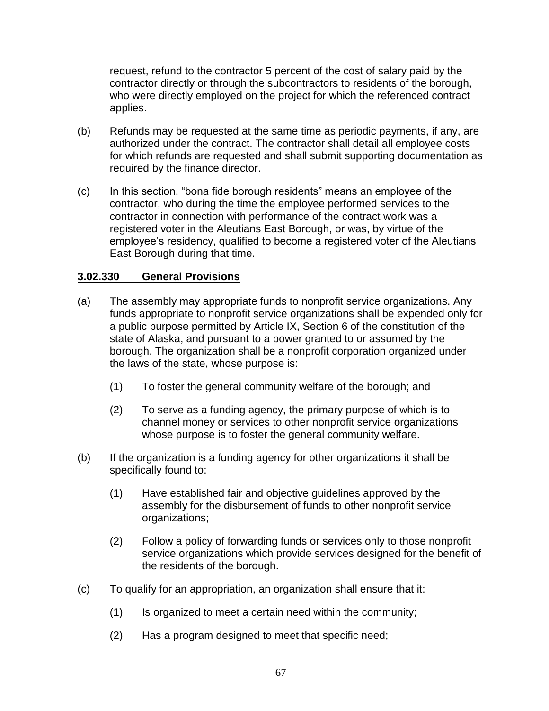request, refund to the contractor 5 percent of the cost of salary paid by the contractor directly or through the subcontractors to residents of the borough, who were directly employed on the project for which the referenced contract applies.

- (b) Refunds may be requested at the same time as periodic payments, if any, are authorized under the contract. The contractor shall detail all employee costs for which refunds are requested and shall submit supporting documentation as required by the finance director.
- (c) In this section, "bona fide borough residents" means an employee of the contractor, who during the time the employee performed services to the contractor in connection with performance of the contract work was a registered voter in the Aleutians East Borough, or was, by virtue of the employee's residency, qualified to become a registered voter of the Aleutians East Borough during that time.

### **3.02.330 General Provisions**

- (a) The assembly may appropriate funds to nonprofit service organizations. Any funds appropriate to nonprofit service organizations shall be expended only for a public purpose permitted by Article IX, Section 6 of the constitution of the state of Alaska, and pursuant to a power granted to or assumed by the borough. The organization shall be a nonprofit corporation organized under the laws of the state, whose purpose is:
	- (1) To foster the general community welfare of the borough; and
	- (2) To serve as a funding agency, the primary purpose of which is to channel money or services to other nonprofit service organizations whose purpose is to foster the general community welfare.
- (b) If the organization is a funding agency for other organizations it shall be specifically found to:
	- (1) Have established fair and objective guidelines approved by the assembly for the disbursement of funds to other nonprofit service organizations;
	- (2) Follow a policy of forwarding funds or services only to those nonprofit service organizations which provide services designed for the benefit of the residents of the borough.
- (c) To qualify for an appropriation, an organization shall ensure that it:
	- (1) Is organized to meet a certain need within the community;
	- (2) Has a program designed to meet that specific need;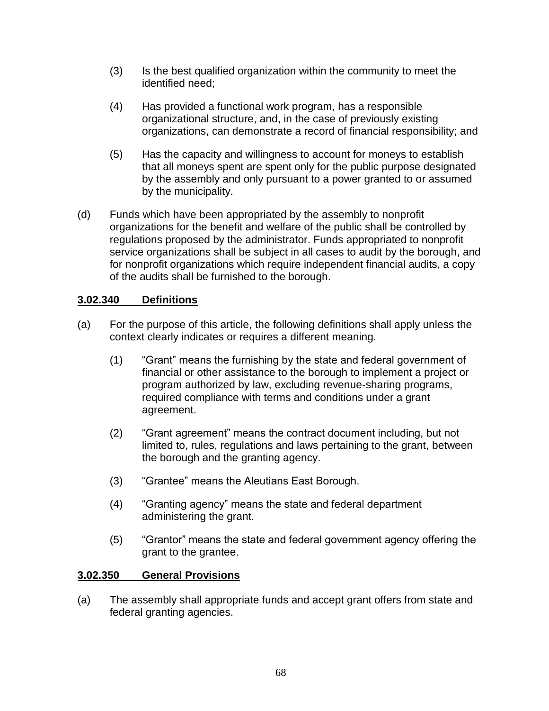- (3) Is the best qualified organization within the community to meet the identified need;
- (4) Has provided a functional work program, has a responsible organizational structure, and, in the case of previously existing organizations, can demonstrate a record of financial responsibility; and
- (5) Has the capacity and willingness to account for moneys to establish that all moneys spent are spent only for the public purpose designated by the assembly and only pursuant to a power granted to or assumed by the municipality.
- (d) Funds which have been appropriated by the assembly to nonprofit organizations for the benefit and welfare of the public shall be controlled by regulations proposed by the administrator. Funds appropriated to nonprofit service organizations shall be subject in all cases to audit by the borough, and for nonprofit organizations which require independent financial audits, a copy of the audits shall be furnished to the borough.

# **3.02.340 Definitions**

- (a) For the purpose of this article, the following definitions shall apply unless the context clearly indicates or requires a different meaning.
	- (1) "Grant" means the furnishing by the state and federal government of financial or other assistance to the borough to implement a project or program authorized by law, excluding revenue-sharing programs, required compliance with terms and conditions under a grant agreement.
	- (2) "Grant agreement" means the contract document including, but not limited to, rules, regulations and laws pertaining to the grant, between the borough and the granting agency.
	- (3) "Grantee" means the Aleutians East Borough.
	- (4) "Granting agency" means the state and federal department administering the grant.
	- (5) "Grantor" means the state and federal government agency offering the grant to the grantee.

### **3.02.350 General Provisions**

(a) The assembly shall appropriate funds and accept grant offers from state and federal granting agencies.